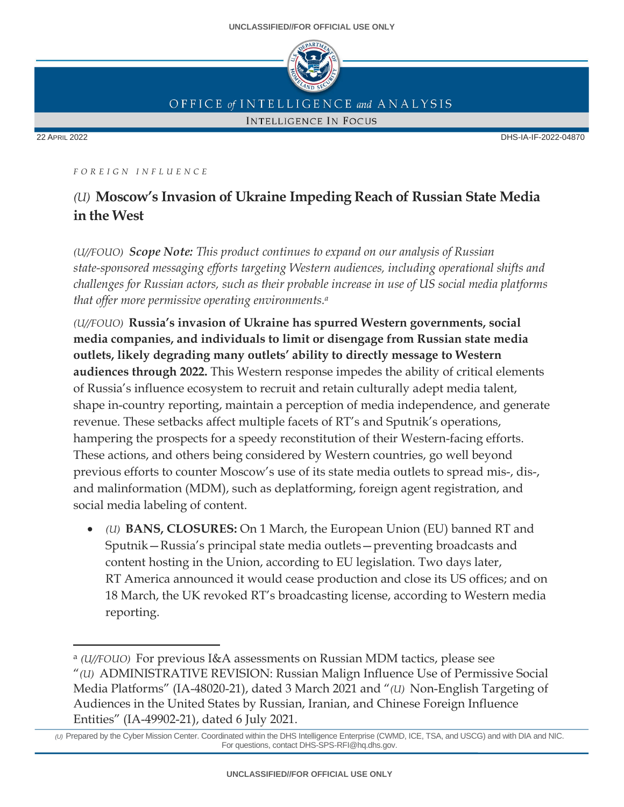

OFFICE of INTELLIGENCE and ANALYSIS

**INTELLIGENCE IN FOCUS** 

22 APRIL 2022 DHS-IA-IF-2022-04870

*F O R E I G N I N F L U E N C E*

# *(U)* **Moscow's Invasion of Ukraine Impeding Reach of Russian State Media in the West**

*(U//FOUO) Scope Note: This product continues to expand on our analysis of Russian state-sponsored messaging efforts targeting Western audiences, including operational shifts and challenges for Russian actors, such as their probable increase in use of US social media platforms that offer more permissive operating environments. a*

*(U//FOUO)* **Russia's invasion of Ukraine has spurred Western governments, social media companies, and individuals to limit or disengage from Russian state media outlets, likely degrading many outlets' ability to directly message to Western audiences through 2022.** This Western response impedes the ability of critical elements of Russia's influence ecosystem to recruit and retain culturally adept media talent, shape in-country reporting, maintain a perception of media independence, and generate revenue. These setbacks affect multiple facets of RT's and Sputnik's operations, hampering the prospects for a speedy reconstitution of their Western-facing efforts. These actions, and others being considered by Western countries, go well beyond previous efforts to counter Moscow's use of its state media outlets to spread mis-, dis-, and malinformation (MDM), such as deplatforming, foreign agent registration, and social media labeling of content.

• *(U)* **BANS, CLOSURES:** On 1 March, the European Union (EU) banned RT and Sputnik—Russia's principal state media outlets—preventing broadcasts and content hosting in the Union, according to EU legislation. Two days later, RT America announced it would cease production and close its US offices; and on 18 March, the UK revoked RT's broadcasting license, according to Western media reporting.

<sup>a</sup> *(U//FOUO)* For previous I&A assessments on Russian MDM tactics, please see "*(U)* ADMINISTRATIVE REVISION: Russian Malign Influence Use of Permissive Social Media Platforms" (IA-48020-21), dated 3 March 2021 and "*(U)* Non-English Targeting of Audiences in the United States by Russian, Iranian, and Chinese Foreign Influence Entities" (IA-49902-21), dated 6 July 2021.

*<sup>(</sup>U)* Prepared by the Cyber Mission Center. Coordinated within the DHS Intelligence Enterprise (CWMD, ICE, TSA, and USCG) and with DIA and NIC. For questions, contact DHS-SPS-RFI@hq.dhs.gov.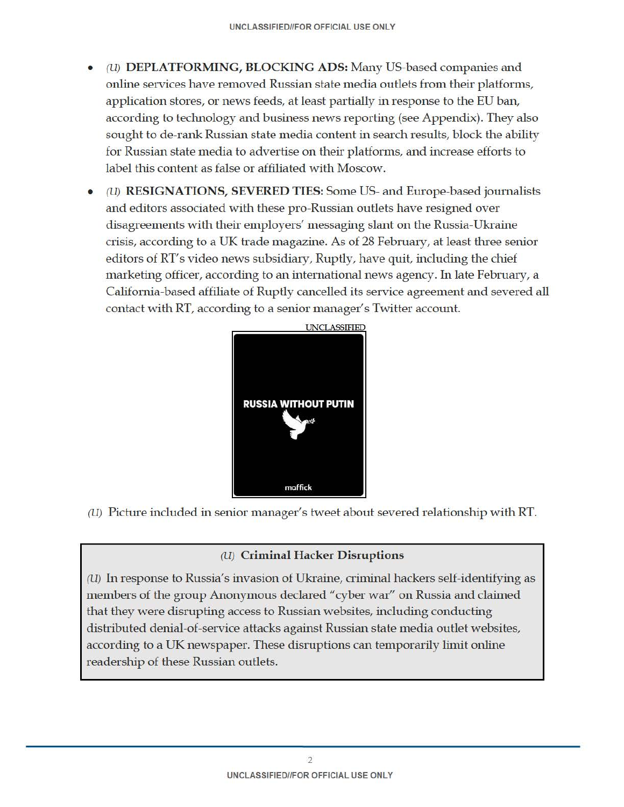- (U) DEPLATFORMING, BLOCKING ADS: Many US-based companies and online services have removed Russian state media outlets from their platforms, application stores, or news feeds, at least partially in response to the EU ban, according to technology and business news reporting (see Appendix). They also sought to de-rank Russian state media content in search results, block the ability for Russian state media to advertise on their platforms, and increase efforts to label this content as false or affiliated with Moscow.
- (U) RESIGNATIONS, SEVERED TIES: Some US- and Europe-based journalists and editors associated with these pro-Russian outlets have resigned over disagreements with their employers' messaging slant on the Russia-Ukraine crisis, according to a UK trade magazine. As of 28 February, at least three senior editors of RT's video news subsidiary, Ruptly, have quit, including the chief marketing officer, according to an international news agency. In late February, a California-based affiliate of Ruptly cancelled its service agreement and severed all contact with RT, according to a senior manager's Twitter account.



(U) Picture included in senior manager's tweet about severed relationship with RT.

#### (U) Criminal Hacker Disruptions

(U) In response to Russia's invasion of Ukraine, criminal hackers self-identifying as members of the group Anonymous declared "cyber war" on Russia and claimed that they were disrupting access to Russian websites, including conducting distributed denial-of-service attacks against Russian state media outlet websites, according to a UK newspaper. These disruptions can temporarily limit online readership of these Russian outlets.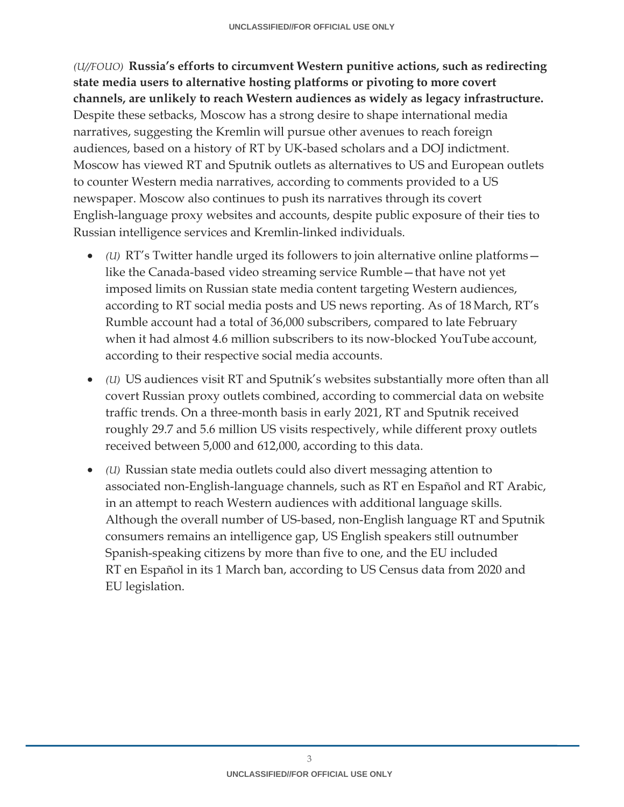*(U//FOUO)* **Russia's efforts to circumvent Western punitive actions, such as redirecting state media users to alternative hosting platforms or pivoting to more covert channels, are unlikely to reach Western audiences as widely as legacy infrastructure.** Despite these setbacks, Moscow has a strong desire to shape international media narratives, suggesting the Kremlin will pursue other avenues to reach foreign audiences, based on a history of RT by UK-based scholars and a DOJ indictment. Moscow has viewed RT and Sputnik outlets as alternatives to US and European outlets to counter Western media narratives, according to comments provided to a US newspaper. Moscow also continues to push its narratives through its covert English-language proxy websites and accounts, despite public exposure of their ties to Russian intelligence services and Kremlin-linked individuals.

- *(U)* RT's Twitter handle urged its followers to join alternative online platforms like the Canada-based video streaming service Rumble—that have not yet imposed limits on Russian state media content targeting Western audiences, according to RT social media posts and US news reporting. As of 18 March, RT's Rumble account had a total of 36,000 subscribers, compared to late February when it had almost 4.6 million subscribers to its now-blocked YouTube account, according to their respective social media accounts.
- *(U)* US audiences visit RT and Sputnik's websites substantially more often than all covert Russian proxy outlets combined, according to commercial data on website traffic trends. On a three-month basis in early 2021, RT and Sputnik received roughly 29.7 and 5.6 million US visits respectively, while different proxy outlets received between 5,000 and 612,000, according to this data.
- *(U)* Russian state media outlets could also divert messaging attention to associated non-English-language channels, such as RT en Español and RT Arabic, in an attempt to reach Western audiences with additional language skills. Although the overall number of US-based, non-English language RT and Sputnik consumers remains an intelligence gap, US English speakers still outnumber Spanish-speaking citizens by more than five to one, and the EU included RT en Español in its 1 March ban, according to US Census data from 2020 and EU legislation.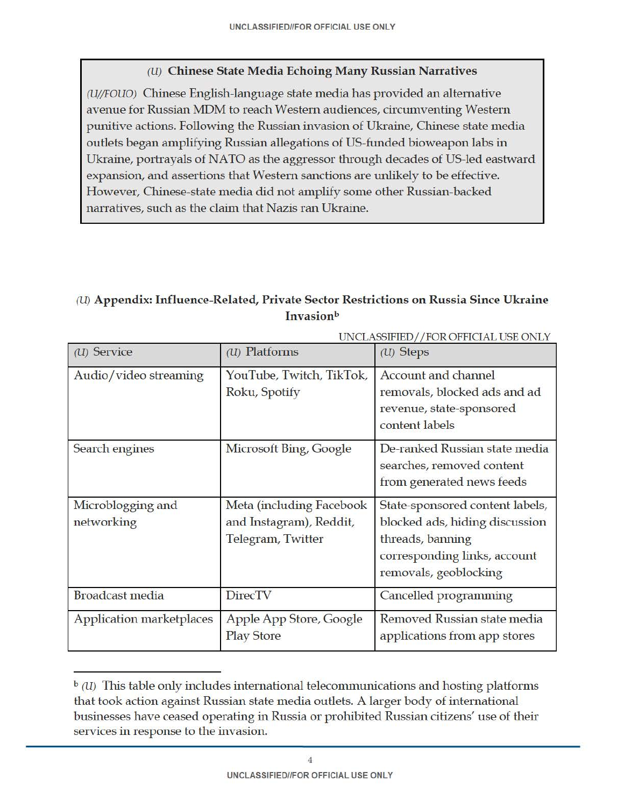### (U) Chinese State Media Echoing Many Russian Narratives

(U/jFOUO) Chinese English-language state media has provided an alternative avenue for Russian MDM to reach Western audiences, circumventing Western punitive actions. Following the Russian invasion of Ukraine, Chinese state media outlets began amplifying Russian allegations of US-funded bioweapon labs in Ukraine, portrayals of NATO as the aggressor through decades of US-led eastward expansion, and assertions that Western sanctions are unlikely to be effective. However, Chinese-state media did not amplify some other Russian-backed narratives, such as the claim that Nazis ran Ukraine.

## (U) Appendix: Influence-Related, Private Sector Restrictions on Russia Since Ukraine **Invasion**b

| UNCLASSIFIED//FOR OFFICIAL USE ONLY |                                                                          |                                                                                                                                                |
|-------------------------------------|--------------------------------------------------------------------------|------------------------------------------------------------------------------------------------------------------------------------------------|
| $(U)$ Service                       | $(U)$ Platforms                                                          | $(U)$ Steps                                                                                                                                    |
| Audio/video streaming               | YouTube, Twitch, TikTok,<br>Roku, Spotify                                | Account and channel<br>removals, blocked ads and ad<br>revenue, state-sponsored<br>content labels                                              |
| Search engines                      | Microsoft Bing, Google                                                   | De-ranked Russian state media<br>searches, removed content<br>from generated news feeds                                                        |
| Microblogging and<br>networking     | Meta (including Facebook<br>and Instagram), Reddit,<br>Telegram, Twitter | State-sponsored content labels,<br>blocked ads, hiding discussion<br>threads, banning<br>corresponding links, account<br>removals, geoblocking |
| <b>Broadcast media</b>              | <b>DirecTV</b>                                                           | Cancelled programming                                                                                                                          |
| Application marketplaces            | Apple App Store, Google<br><b>Play Store</b>                             | Removed Russian state media<br>applications from app stores                                                                                    |

 $\mathfrak{b}(U)$  This table only includes international telecommunications and hosting platforms that took action against Russian state media outlets. A larger body of international businesses have ceased operating in Russia or prohibited Russian citizens' use of their services in response to the invasion.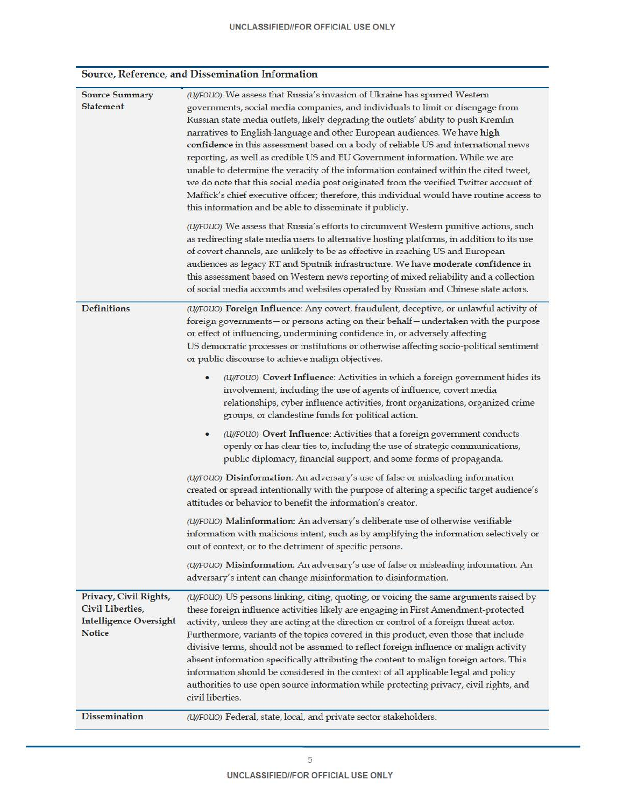#### Source, Reference, and Dissemination Information

| <b>Source Summary</b><br><b>Statement</b>                                                    | (U/FOUO) We assess that Russia's invasion of Ukraine has spurred Western<br>governments, social media companies, and individuals to limit or disengage from<br>Russian state media outlets, likely degrading the outlets' ability to push Kremlin<br>narratives to English-language and other European audiences. We have high<br>confidence in this assessment based on a body of reliable US and international news<br>reporting, as well as credible US and EU Government information. While we are<br>unable to determine the veracity of the information contained within the cited tweet,<br>we do note that this social media post originated from the verified Twitter account of<br>Maffick's chief executive officer; therefore, this individual would have routine access to<br>this information and be able to disseminate it publicly.<br>(U/FOUO) We assess that Russia's efforts to circumvent Western punitive actions, such<br>as redirecting state media users to alternative hosting platforms, in addition to its use<br>of covert channels, are unlikely to be as effective in reaching US and European |
|----------------------------------------------------------------------------------------------|------------------------------------------------------------------------------------------------------------------------------------------------------------------------------------------------------------------------------------------------------------------------------------------------------------------------------------------------------------------------------------------------------------------------------------------------------------------------------------------------------------------------------------------------------------------------------------------------------------------------------------------------------------------------------------------------------------------------------------------------------------------------------------------------------------------------------------------------------------------------------------------------------------------------------------------------------------------------------------------------------------------------------------------------------------------------------------------------------------------------------|
|                                                                                              | audiences as legacy RT and Sputnik infrastructure. We have moderate confidence in<br>this assessment based on Western news reporting of mixed reliability and a collection<br>of social media accounts and websites operated by Russian and Chinese state actors.                                                                                                                                                                                                                                                                                                                                                                                                                                                                                                                                                                                                                                                                                                                                                                                                                                                            |
| <b>Definitions</b>                                                                           | (U/FOUO) Foreign Influence: Any covert, fraudulent, deceptive, or unlawful activity of<br>foreign governments - or persons acting on their behalf - undertaken with the purpose<br>or effect of influencing, undermining confidence in, or adversely affecting<br>US democratic processes or institutions or otherwise affecting socio-political sentiment<br>or public discourse to achieve malign objectives.                                                                                                                                                                                                                                                                                                                                                                                                                                                                                                                                                                                                                                                                                                              |
|                                                                                              | (U/FOUO) Covert Influence: Activities in which a foreign government hides its<br>involvement, including the use of agents of influence, covert media<br>relationships, cyber influence activities, front organizations, organized crime<br>groups, or clandestine funds for political action.                                                                                                                                                                                                                                                                                                                                                                                                                                                                                                                                                                                                                                                                                                                                                                                                                                |
|                                                                                              | (U/FOUO) Overt Influence: Activities that a foreign government conducts<br>openly or has clear ties to, including the use of strategic communications,<br>public diplomacy, financial support, and some forms of propaganda.                                                                                                                                                                                                                                                                                                                                                                                                                                                                                                                                                                                                                                                                                                                                                                                                                                                                                                 |
|                                                                                              | (U/FOUO) Disinformation: An adversary's use of false or misleading information<br>created or spread intentionally with the purpose of altering a specific target audience's<br>attitudes or behavior to benefit the information's creator.                                                                                                                                                                                                                                                                                                                                                                                                                                                                                                                                                                                                                                                                                                                                                                                                                                                                                   |
|                                                                                              | (U/FOUO) Malinformation: An adversary's deliberate use of otherwise verifiable<br>information with malicious intent, such as by amplifying the information selectively or<br>out of context, or to the detriment of specific persons.                                                                                                                                                                                                                                                                                                                                                                                                                                                                                                                                                                                                                                                                                                                                                                                                                                                                                        |
|                                                                                              | (U/FOUO) Misinformation: An adversary's use of false or misleading information. An<br>adversary's intent can change misinformation to disinformation.                                                                                                                                                                                                                                                                                                                                                                                                                                                                                                                                                                                                                                                                                                                                                                                                                                                                                                                                                                        |
| Privacy, Civil Rights,<br>Civil Liberties,<br><b>Intelligence Oversight</b><br><b>Notice</b> | (U/FOUO) US persons linking, citing, quoting, or voicing the same arguments raised by<br>these foreign influence activities likely are engaging in First Amendment-protected<br>activity, unless they are acting at the direction or control of a foreign threat actor.<br>Furthermore, variants of the topics covered in this product, even those that include<br>divisive terms, should not be assumed to reflect foreign influence or malign activity<br>absent information specifically attributing the content to malign foreign actors. This<br>information should be considered in the context of all applicable legal and policy<br>authorities to use open source information while protecting privacy, civil rights, and<br>civil liberties.                                                                                                                                                                                                                                                                                                                                                                       |
| <b>Dissemination</b>                                                                         | (U/FOUO) Federal, state, local, and private sector stakeholders.                                                                                                                                                                                                                                                                                                                                                                                                                                                                                                                                                                                                                                                                                                                                                                                                                                                                                                                                                                                                                                                             |